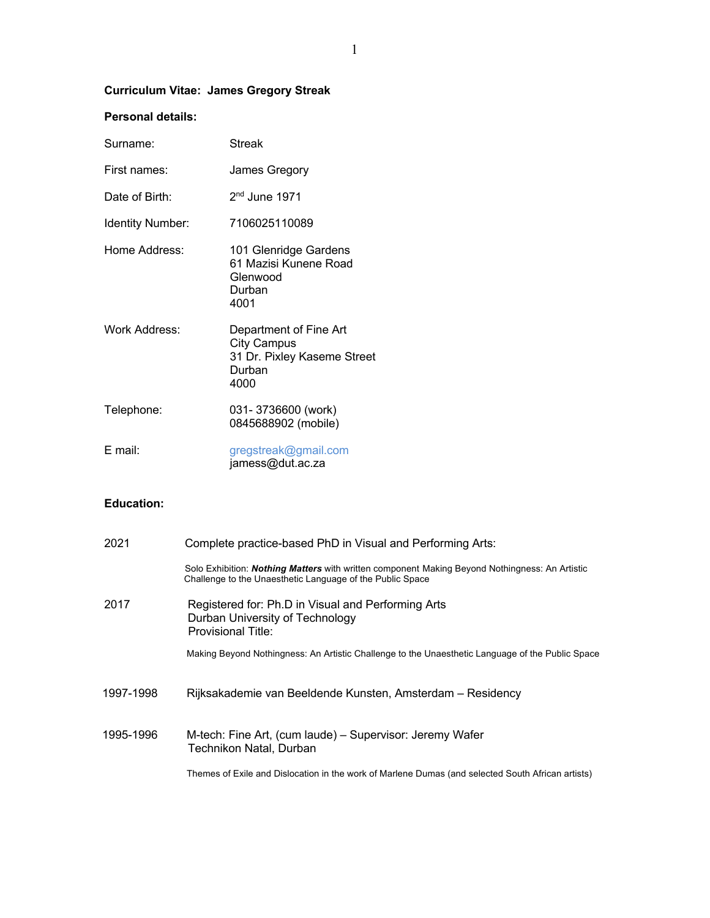# **Curriculum Vitae: James Gregory Streak**

# **Personal details:**

| Surname:         | Streak                                                                                        |
|------------------|-----------------------------------------------------------------------------------------------|
| First names:     | James Gregory                                                                                 |
| Date of Birth:   | $2nd$ June 1971                                                                               |
| Identity Number: | 7106025110089                                                                                 |
| Home Address:    | 101 Glenridge Gardens<br>61 Mazisi Kunene Road<br>Glenwood<br>Durban<br>4001                  |
| Work Address:    | Department of Fine Art<br><b>City Campus</b><br>31 Dr. Pixley Kaseme Street<br>Durban<br>4000 |
| Telephone:       | 031-3736600 (work)<br>0845688902 (mobile)                                                     |
| E mail:          | gregstreak@gmail.com<br>jamess@dut.ac.za                                                      |

## **Education:**

| 2021      | Complete practice-based PhD in Visual and Performing Arts:                                                                                                         |
|-----------|--------------------------------------------------------------------------------------------------------------------------------------------------------------------|
|           | Solo Exhibition: <i>Nothing Matters</i> with written component Making Beyond Nothingness: An Artistic<br>Challenge to the Unaesthetic Language of the Public Space |
| 2017      | Registered for: Ph.D in Visual and Performing Arts<br>Durban University of Technology<br><b>Provisional Title:</b>                                                 |
|           | Making Beyond Nothingness: An Artistic Challenge to the Unaesthetic Language of the Public Space                                                                   |
| 1997-1998 | Rijksakademie van Beeldende Kunsten, Amsterdam - Residency                                                                                                         |
| 1995-1996 | M-tech: Fine Art, (cum laude) – Supervisor: Jeremy Wafer<br>Technikon Natal, Durban                                                                                |
|           | Themes of Exile and Dislocation in the work of Marlene Dumas (and selected South African artists)                                                                  |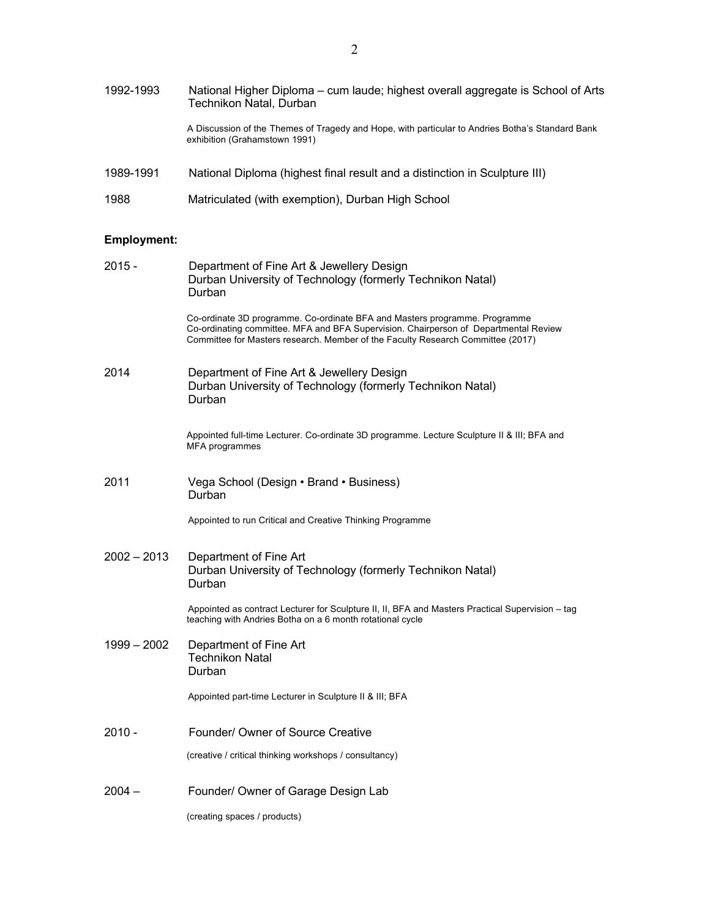| 1992-1993          | National Higher Diploma – cum laude; highest overall aggregate is School of Arts<br>Technikon Natal, Durban                                                                                                                                           |
|--------------------|-------------------------------------------------------------------------------------------------------------------------------------------------------------------------------------------------------------------------------------------------------|
|                    | A Discussion of the Themes of Tragedy and Hope, with particular to Andries Botha's Standard Bank<br>exhibition (Grahamstown 1991)                                                                                                                     |
| 1989-1991          | National Diploma (highest final result and a distinction in Sculpture III)                                                                                                                                                                            |
| 1988               | Matriculated (with exemption), Durban High School                                                                                                                                                                                                     |
| <b>Employment:</b> |                                                                                                                                                                                                                                                       |
| $2015 -$           | Department of Fine Art & Jewellery Design<br>Durban University of Technology (formerly Technikon Natal)<br>Durban                                                                                                                                     |
|                    | Co-ordinate 3D programme. Co-ordinate BFA and Masters programme. Programme<br>Co-ordinating committee. MFA and BFA Supervision. Chairperson of Departmental Review<br>Committee for Masters research. Member of the Faculty Research Committee (2017) |
| 2014               | Department of Fine Art & Jewellery Design<br>Durban University of Technology (formerly Technikon Natal)<br>Durban                                                                                                                                     |
|                    | Appointed full-time Lecturer. Co-ordinate 3D programme. Lecture Sculpture II & III; BFA and<br>MFA programmes                                                                                                                                         |
| 2011               | Vega School (Design · Brand · Business)<br>Durban                                                                                                                                                                                                     |
|                    | Appointed to run Critical and Creative Thinking Programme                                                                                                                                                                                             |
| $2002 - 2013$      | Department of Fine Art<br>Durban University of Technology (formerly Technikon Natal)<br>Durban                                                                                                                                                        |
|                    | Appointed as contract Lecturer for Sculpture II, II, BFA and Masters Practical Supervision - tag<br>teaching with Andries Botha on a 6 month rotational cycle                                                                                         |
| 1999 - 2002        | Department of Fine Art<br><b>Technikon Natal</b><br>Durban                                                                                                                                                                                            |
|                    | Appointed part-time Lecturer in Sculpture II & III; BFA                                                                                                                                                                                               |
| $2010 -$           | Founder/ Owner of Source Creative                                                                                                                                                                                                                     |
|                    |                                                                                                                                                                                                                                                       |

(creative / critical thinking workshops / consultancy)

2004 – Founder/ Owner of Garage Design Lab

(creating spaces / products)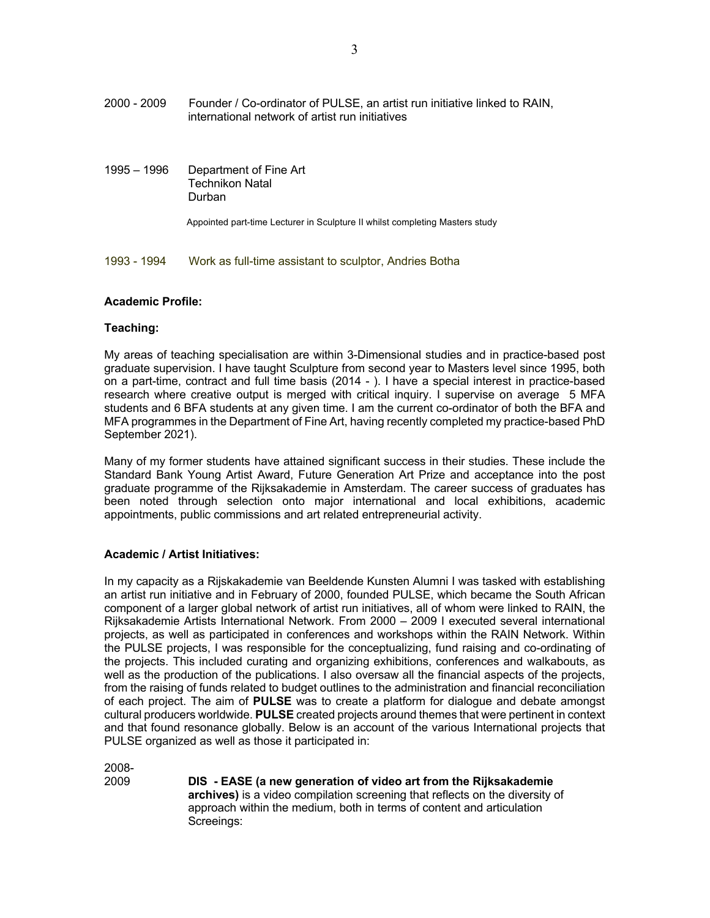- 2000 2009 Founder / Co-ordinator of PULSE, an artist run initiative linked to RAIN, international network of artist run initiatives
- 1995 1996 Department of Fine Art Technikon Natal Durban

Appointed part-time Lecturer in Sculpture II whilst completing Masters study

1993 - 1994 Work as full-time assistant to sculptor, Andries Botha

### **Academic Profile:**

### **Teaching:**

My areas of teaching specialisation are within 3-Dimensional studies and in practice-based post graduate supervision. I have taught Sculpture from second year to Masters level since 1995, both on a part-time, contract and full time basis (2014 - ). I have a special interest in practice-based research where creative output is merged with critical inquiry. I supervise on average 5 MFA students and 6 BFA students at any given time. I am the current co-ordinator of both the BFA and MFA programmes in the Department of Fine Art, having recently completed my practice-based PhD September 2021).

Many of my former students have attained significant success in their studies. These include the Standard Bank Young Artist Award, Future Generation Art Prize and acceptance into the post graduate programme of the Rijksakademie in Amsterdam. The career success of graduates has been noted through selection onto major international and local exhibitions, academic appointments, public commissions and art related entrepreneurial activity.

## **Academic / Artist Initiatives:**

In my capacity as a Rijskakademie van Beeldende Kunsten Alumni I was tasked with establishing an artist run initiative and in February of 2000, founded PULSE, which became the South African component of a larger global network of artist run initiatives, all of whom were linked to RAIN, the Rijksakademie Artists International Network. From 2000 – 2009 I executed several international projects, as well as participated in conferences and workshops within the RAIN Network. Within the PULSE projects, I was responsible for the conceptualizing, fund raising and co-ordinating of the projects. This included curating and organizing exhibitions, conferences and walkabouts, as well as the production of the publications. I also oversaw all the financial aspects of the projects, from the raising of funds related to budget outlines to the administration and financial reconciliation of each project. The aim of **PULSE** was to create a platform for dialogue and debate amongst cultural producers worldwide. **PULSE** created projects around themes that were pertinent in context and that found resonance globally. Below is an account of the various International projects that PULSE organized as well as those it participated in:

2008-

2009 **DIS - EASE (a new generation of video art from the Rijksakademie archives)** is a video compilation screening that reflects on the diversity of approach within the medium, both in terms of content and articulation Screeings: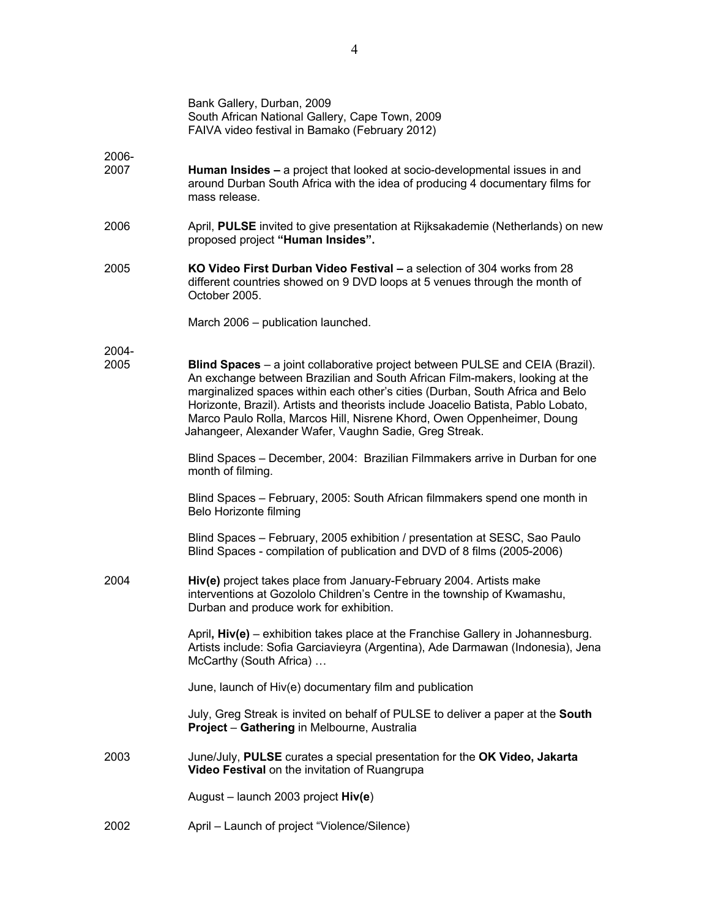|               | Bank Gallery, Durban, 2009<br>South African National Gallery, Cape Town, 2009<br>FAIVA video festival in Bamako (February 2012)                                                                                                                                                                                                                                                                                                                                        |
|---------------|------------------------------------------------------------------------------------------------------------------------------------------------------------------------------------------------------------------------------------------------------------------------------------------------------------------------------------------------------------------------------------------------------------------------------------------------------------------------|
| 2006-<br>2007 | Human Insides - a project that looked at socio-developmental issues in and<br>around Durban South Africa with the idea of producing 4 documentary films for<br>mass release.                                                                                                                                                                                                                                                                                           |
| 2006          | April, PULSE invited to give presentation at Rijksakademie (Netherlands) on new<br>proposed project "Human Insides".                                                                                                                                                                                                                                                                                                                                                   |
| 2005          | KO Video First Durban Video Festival - a selection of 304 works from 28<br>different countries showed on 9 DVD loops at 5 venues through the month of<br>October 2005.                                                                                                                                                                                                                                                                                                 |
|               | March 2006 - publication launched.                                                                                                                                                                                                                                                                                                                                                                                                                                     |
| 2004-<br>2005 | Blind Spaces - a joint collaborative project between PULSE and CEIA (Brazil).<br>An exchange between Brazilian and South African Film-makers, looking at the<br>marginalized spaces within each other's cities (Durban, South Africa and Belo<br>Horizonte, Brazil). Artists and theorists include Joacelio Batista, Pablo Lobato,<br>Marco Paulo Rolla, Marcos Hill, Nisrene Khord, Owen Oppenheimer, Doung<br>Jahangeer, Alexander Wafer, Vaughn Sadie, Greg Streak. |
|               | Blind Spaces - December, 2004: Brazilian Filmmakers arrive in Durban for one<br>month of filming.                                                                                                                                                                                                                                                                                                                                                                      |
|               | Blind Spaces - February, 2005: South African filmmakers spend one month in<br>Belo Horizonte filming                                                                                                                                                                                                                                                                                                                                                                   |
|               | Blind Spaces - February, 2005 exhibition / presentation at SESC, Sao Paulo<br>Blind Spaces - compilation of publication and DVD of 8 films (2005-2006)                                                                                                                                                                                                                                                                                                                 |
| 2004          | Hiv(e) project takes place from January-February 2004. Artists make<br>interventions at Gozololo Children's Centre in the township of Kwamashu,<br>Durban and produce work for exhibition.                                                                                                                                                                                                                                                                             |
|               | April, Hiv(e) - exhibition takes place at the Franchise Gallery in Johannesburg.<br>Artists include: Sofia Garciavieyra (Argentina), Ade Darmawan (Indonesia), Jena<br>McCarthy (South Africa)                                                                                                                                                                                                                                                                         |
|               | June, launch of Hiv(e) documentary film and publication                                                                                                                                                                                                                                                                                                                                                                                                                |
|               | July, Greg Streak is invited on behalf of PULSE to deliver a paper at the South<br>Project - Gathering in Melbourne, Australia                                                                                                                                                                                                                                                                                                                                         |
| 2003          | June/July, PULSE curates a special presentation for the OK Video, Jakarta<br>Video Festival on the invitation of Ruangrupa                                                                                                                                                                                                                                                                                                                                             |
|               | August - launch 2003 project Hiv(e)                                                                                                                                                                                                                                                                                                                                                                                                                                    |
| 2002          | April - Launch of project "Violence/Silence)                                                                                                                                                                                                                                                                                                                                                                                                                           |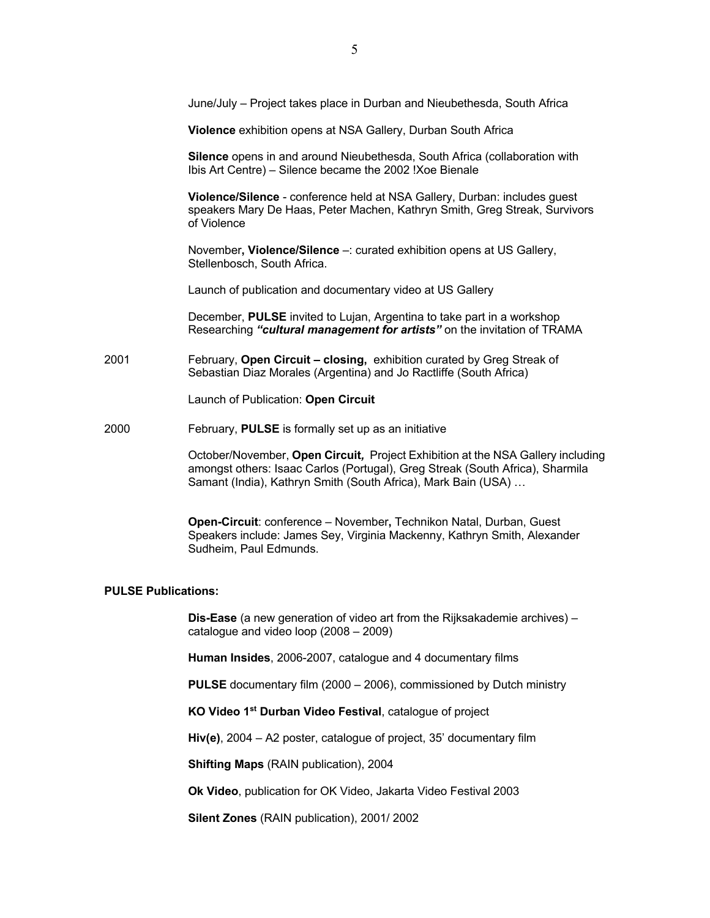June/July – Project takes place in Durban and Nieubethesda, South Africa

**Violence** exhibition opens at NSA Gallery, Durban South Africa

 **Silence** opens in and around Nieubethesda, South Africa (collaboration with Ibis Art Centre) – Silence became the 2002 !Xoe Bienale

**Violence/Silence** - conference held at NSA Gallery, Durban: includes guest speakers Mary De Haas, Peter Machen, Kathryn Smith, Greg Streak, Survivors of Violence

 November**, Violence/Silence** –: curated exhibition opens at US Gallery, Stellenbosch, South Africa.

Launch of publication and documentary video at US Gallery

 December, **PULSE** invited to Lujan, Argentina to take part in a workshop Researching *"cultural management for artists"* on the invitation of TRAMA

2001February, **Open Circuit – closing,** exhibition curated by Greg Streak of Sebastian Diaz Morales (Argentina) and Jo Ractliffe (South Africa)

Launch of Publication: **Open Circuit**

2000February, **PULSE** is formally set up as an initiative

 October/November, **Open Circuit***,* Project Exhibition at the NSA Gallery including amongst others: Isaac Carlos (Portugal), Greg Streak (South Africa), Sharmila Samant (India), Kathryn Smith (South Africa), Mark Bain (USA) …

 **Open-Circuit**: conference – November**,** Technikon Natal, Durban, Guest Speakers include: James Sey, Virginia Mackenny, Kathryn Smith, Alexander Sudheim, Paul Edmunds.

### **PULSE Publications:**

 **Dis-Ease** (a new generation of video art from the Rijksakademie archives) – catalogue and video loop (2008 – 2009)

 **Human Insides**, 2006-2007, catalogue and 4 documentary films

 **PULSE** documentary film (2000 – 2006), commissioned by Dutch ministry

 **KO Video 1st Durban Video Festival**, catalogue of project

 **Hiv(e)**, 2004 – A2 poster, catalogue of project, 35' documentary film

 **Shifting Maps** (RAIN publication), 2004

 **Ok Video**, publication for OK Video, Jakarta Video Festival 2003

 **Silent Zones** (RAIN publication), 2001/ 2002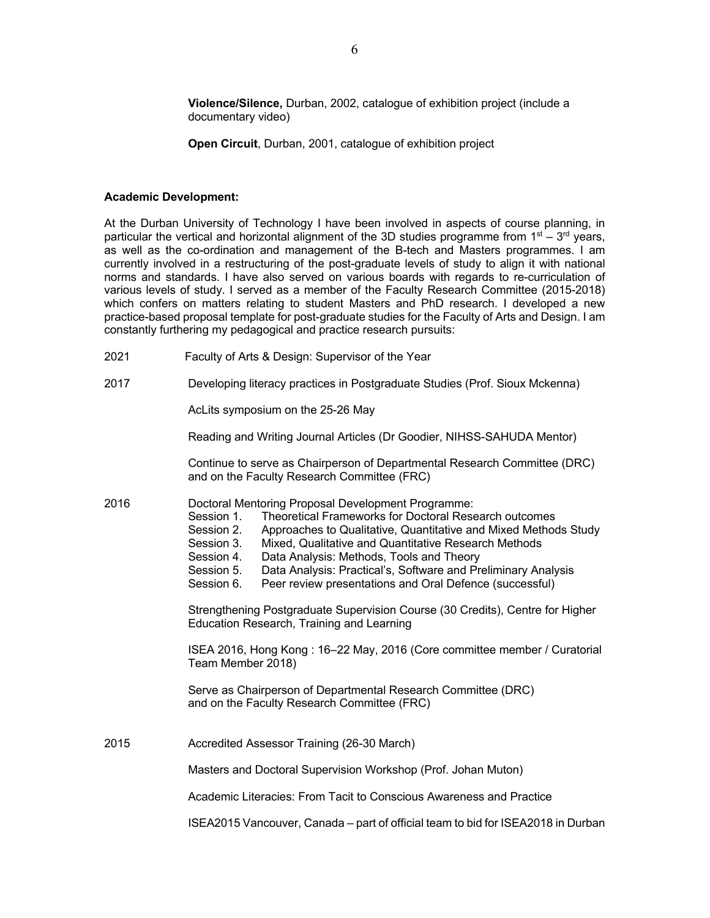**Violence/Silence,** Durban, 2002, catalogue of exhibition project (include a documentary video)

 **Open Circuit**, Durban, 2001, catalogue of exhibition project

#### **Academic Development:**

At the Durban University of Technology I have been involved in aspects of course planning, in particular the vertical and horizontal alignment of the 3D studies programme from  $1<sup>st</sup> - 3<sup>rd</sup>$  years, as well as the co-ordination and management of the B-tech and Masters programmes. I am currently involved in a restructuring of the post-graduate levels of study to align it with national norms and standards. I have also served on various boards with regards to re-curriculation of various levels of study. I served as a member of the Faculty Research Committee (2015-2018) which confers on matters relating to student Masters and PhD research. I developed a new practice-based proposal template for post-graduate studies for the Faculty of Arts and Design. I am constantly furthering my pedagogical and practice research pursuits:

- 2021 Faculty of Arts & Design: Supervisor of the Year
- 2017 Developing literacy practices in Postgraduate Studies (Prof. Sioux Mckenna)

AcLits symposium on the 25-26 May

Reading and Writing Journal Articles (Dr Goodier, NIHSS-SAHUDA Mentor)

 Continue to serve as Chairperson of Departmental Research Committee (DRC) and on the Faculty Research Committee (FRC)

2016 Doctoral Mentoring Proposal Development Programme:

- Session 1. Theoretical Frameworks for Doctoral Research outcomes
- Session 2. Approaches to Qualitative, Quantitative and Mixed Methods Study<br>Session 3. Mixed, Qualitative and Quantitative Research Methods
- Mixed, Qualitative and Quantitative Research Methods
- Session 4. Data Analysis: Methods, Tools and Theory
- Session 5. Data Analysis: Practical's, Software and Preliminary Analysis
- Session 6. Peer review presentations and Oral Defence (successful)

 Strengthening Postgraduate Supervision Course (30 Credits), Centre for Higher Education Research, Training and Learning

 ISEA 2016, Hong Kong : 16–22 May, 2016 (Core committee member / Curatorial Team Member 2018)

 Serve as Chairperson of Departmental Research Committee (DRC) and on the Faculty Research Committee (FRC)

2015 Accredited Assessor Training (26-30 March)

Masters and Doctoral Supervision Workshop (Prof. Johan Muton)

Academic Literacies: From Tacit to Conscious Awareness and Practice

ISEA2015 Vancouver, Canada – part of official team to bid for ISEA2018 in Durban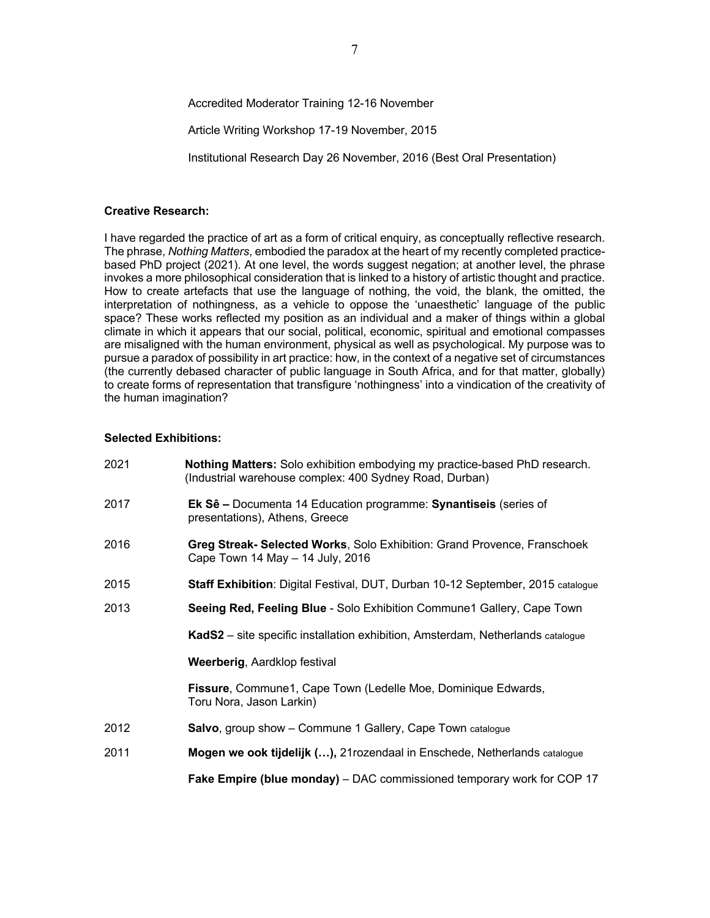## Accredited Moderator Training 12-16 November

Article Writing Workshop 17-19 November, 2015

Institutional Research Day 26 November, 2016 (Best Oral Presentation)

#### **Creative Research:**

I have regarded the practice of art as a form of critical enquiry, as conceptually reflective research. The phrase, *Nothing Matters*, embodied the paradox at the heart of my recently completed practicebased PhD project (2021). At one level, the words suggest negation; at another level, the phrase invokes a more philosophical consideration that is linked to a history of artistic thought and practice. How to create artefacts that use the language of nothing, the void, the blank, the omitted, the interpretation of nothingness, as a vehicle to oppose the 'unaesthetic' language of the public space? These works reflected my position as an individual and a maker of things within a global climate in which it appears that our social, political, economic, spiritual and emotional compasses are misaligned with the human environment, physical as well as psychological. My purpose was to pursue a paradox of possibility in art practice: how, in the context of a negative set of circumstances (the currently debased character of public language in South Africa, and for that matter, globally) to create forms of representation that transfigure 'nothingness' into a vindication of the creativity of the human imagination?

## **Selected Exhibitions:**

| 2021 | Nothing Matters: Solo exhibition embodying my practice-based PhD research.<br>(Industrial warehouse complex: 400 Sydney Road, Durban) |
|------|---------------------------------------------------------------------------------------------------------------------------------------|
| 2017 | Ek Sê - Documenta 14 Education programme: Synantiseis (series of<br>presentations), Athens, Greece                                    |
| 2016 | Greg Streak- Selected Works, Solo Exhibition: Grand Provence, Franschoek<br>Cape Town 14 May - 14 July, 2016                          |
| 2015 | Staff Exhibition: Digital Festival, DUT, Durban 10-12 September, 2015 catalogue                                                       |
| 2013 | Seeing Red, Feeling Blue - Solo Exhibition Commune1 Gallery, Cape Town                                                                |
|      | KadS2 - site specific installation exhibition, Amsterdam, Netherlands catalogue                                                       |
|      | Weerberig, Aardklop festival                                                                                                          |
|      | Fissure, Commune1, Cape Town (Ledelle Moe, Dominique Edwards,<br>Toru Nora, Jason Larkin)                                             |
| 2012 | <b>Salvo, group show - Commune 1 Gallery, Cape Town catalogue</b>                                                                     |
| 2011 | Mogen we ook tijdelijk (), 21 rozendaal in Enschede, Netherlands catalogue                                                            |
|      | <b>Fake Empire (blue monday)</b> – DAC commissioned temporary work for COP 17                                                         |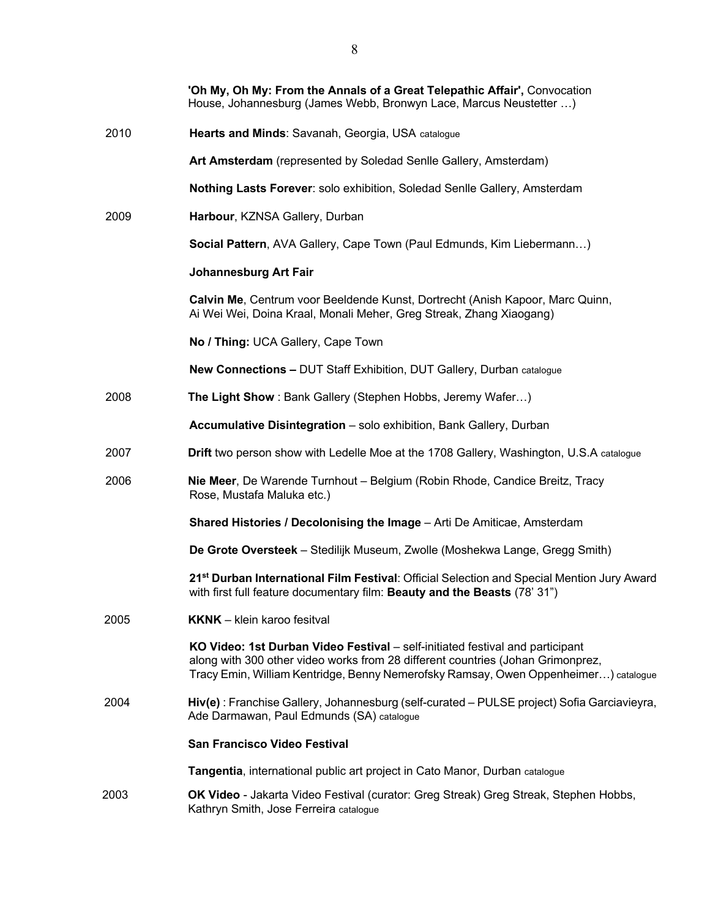|      | 'Oh My, Oh My: From the Annals of a Great Telepathic Affair', Convocation<br>House, Johannesburg (James Webb, Bronwyn Lace, Marcus Neustetter )                                                                                                         |
|------|---------------------------------------------------------------------------------------------------------------------------------------------------------------------------------------------------------------------------------------------------------|
| 2010 | Hearts and Minds: Savanah, Georgia, USA catalogue                                                                                                                                                                                                       |
|      | Art Amsterdam (represented by Soledad Senlle Gallery, Amsterdam)                                                                                                                                                                                        |
|      | Nothing Lasts Forever: solo exhibition, Soledad Senlle Gallery, Amsterdam                                                                                                                                                                               |
| 2009 | Harbour, KZNSA Gallery, Durban                                                                                                                                                                                                                          |
|      | Social Pattern, AVA Gallery, Cape Town (Paul Edmunds, Kim Liebermann)                                                                                                                                                                                   |
|      | <b>Johannesburg Art Fair</b>                                                                                                                                                                                                                            |
|      | Calvin Me, Centrum voor Beeldende Kunst, Dortrecht (Anish Kapoor, Marc Quinn,<br>Ai Wei Wei, Doina Kraal, Monali Meher, Greg Streak, Zhang Xiaogang)                                                                                                    |
|      | No / Thing: UCA Gallery, Cape Town                                                                                                                                                                                                                      |
|      | <b>New Connections - DUT Staff Exhibition, DUT Gallery, Durban catalogue</b>                                                                                                                                                                            |
| 2008 | The Light Show: Bank Gallery (Stephen Hobbs, Jeremy Wafer)                                                                                                                                                                                              |
|      | Accumulative Disintegration - solo exhibition, Bank Gallery, Durban                                                                                                                                                                                     |
| 2007 | Drift two person show with Ledelle Moe at the 1708 Gallery, Washington, U.S.A catalogue                                                                                                                                                                 |
| 2006 | Nie Meer, De Warende Turnhout - Belgium (Robin Rhode, Candice Breitz, Tracy<br>Rose, Mustafa Maluka etc.)                                                                                                                                               |
|      | Shared Histories / Decolonising the Image - Arti De Amiticae, Amsterdam                                                                                                                                                                                 |
|      | De Grote Oversteek - Stedilijk Museum, Zwolle (Moshekwa Lange, Gregg Smith)                                                                                                                                                                             |
|      | 21 <sup>st</sup> Durban International Film Festival: Official Selection and Special Mention Jury Award<br>with first full feature documentary film: Beauty and the Beasts (78' 31")                                                                     |
| 2005 | <b>KKNK</b> - klein karoo fesitval                                                                                                                                                                                                                      |
|      | KO Video: 1st Durban Video Festival – self-initiated festival and participant<br>along with 300 other video works from 28 different countries (Johan Grimonprez,<br>Tracy Emin, William Kentridge, Benny Nemerofsky Ramsay, Owen Oppenheimer) catalogue |
| 2004 | Hiv(e): Franchise Gallery, Johannesburg (self-curated - PULSE project) Sofia Garciavieyra,<br>Ade Darmawan, Paul Edmunds (SA) catalogue                                                                                                                 |
|      | <b>San Francisco Video Festival</b>                                                                                                                                                                                                                     |
|      | Tangentia, international public art project in Cato Manor, Durban catalogue                                                                                                                                                                             |
| 2003 | OK Video - Jakarta Video Festival (curator: Greg Streak) Greg Streak, Stephen Hobbs,<br>Kathryn Smith, Jose Ferreira catalogue                                                                                                                          |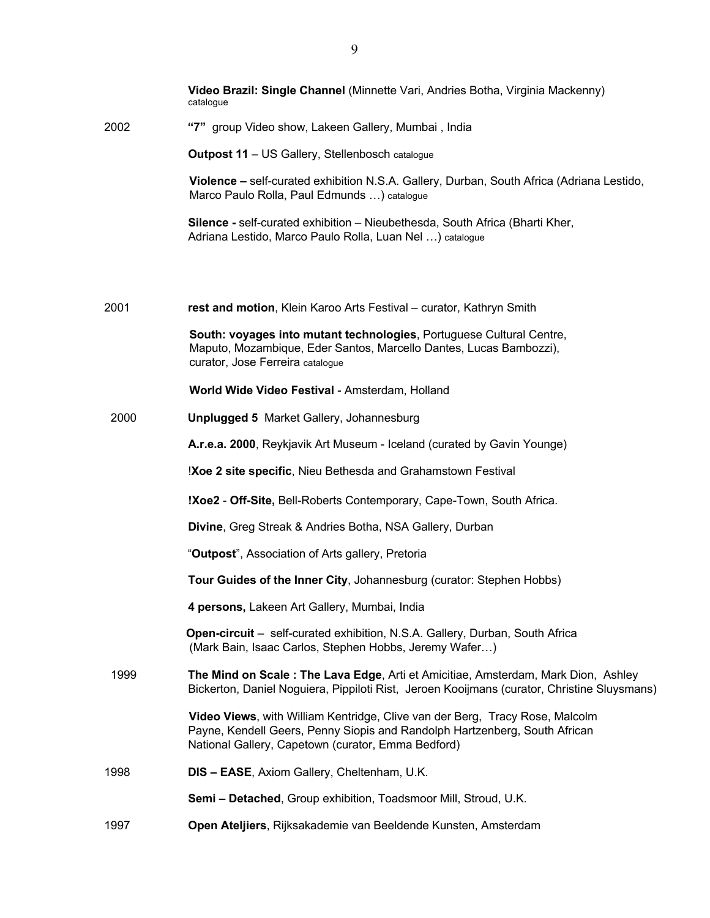|      | Video Brazil: Single Channel (Minnette Vari, Andries Botha, Virginia Mackenny)<br>catalogue                                                                                                                      |
|------|------------------------------------------------------------------------------------------------------------------------------------------------------------------------------------------------------------------|
| 2002 | "7" group Video show, Lakeen Gallery, Mumbai, India                                                                                                                                                              |
|      | Outpost 11 - US Gallery, Stellenbosch catalogue                                                                                                                                                                  |
|      | Violence – self-curated exhibition N.S.A. Gallery, Durban, South Africa (Adriana Lestido,<br>Marco Paulo Rolla, Paul Edmunds ) catalogue                                                                         |
|      | Silence - self-curated exhibition - Nieubethesda, South Africa (Bharti Kher,<br>Adriana Lestido, Marco Paulo Rolla, Luan Nel ) catalogue                                                                         |
|      |                                                                                                                                                                                                                  |
| 2001 | rest and motion, Klein Karoo Arts Festival - curator, Kathryn Smith                                                                                                                                              |
|      | South: voyages into mutant technologies, Portuguese Cultural Centre,<br>Maputo, Mozambique, Eder Santos, Marcello Dantes, Lucas Bambozzi),<br>curator, Jose Ferreira catalogue                                   |
|      | World Wide Video Festival - Amsterdam, Holland                                                                                                                                                                   |
| 2000 | <b>Unplugged 5 Market Gallery, Johannesburg</b>                                                                                                                                                                  |
|      | A.r.e.a. 2000, Reykjavik Art Museum - Iceland (curated by Gavin Younge)                                                                                                                                          |
|      | !Xoe 2 site specific, Nieu Bethesda and Grahamstown Festival                                                                                                                                                     |
|      | !Xoe2 - Off-Site, Bell-Roberts Contemporary, Cape-Town, South Africa.                                                                                                                                            |
|      | Divine, Greg Streak & Andries Botha, NSA Gallery, Durban                                                                                                                                                         |
|      | "Outpost", Association of Arts gallery, Pretoria                                                                                                                                                                 |
|      | Tour Guides of the Inner City, Johannesburg (curator: Stephen Hobbs)                                                                                                                                             |
|      | 4 persons, Lakeen Art Gallery, Mumbai, India                                                                                                                                                                     |
|      | Open-circuit - self-curated exhibition, N.S.A. Gallery, Durban, South Africa<br>(Mark Bain, Isaac Carlos, Stephen Hobbs, Jeremy Wafer)                                                                           |
| 1999 | The Mind on Scale: The Lava Edge, Arti et Amicitiae, Amsterdam, Mark Dion, Ashley<br>Bickerton, Daniel Noguiera, Pippiloti Rist, Jeroen Kooijmans (curator, Christine Sluysmans)                                 |
|      | Video Views, with William Kentridge, Clive van der Berg, Tracy Rose, Malcolm<br>Payne, Kendell Geers, Penny Siopis and Randolph Hartzenberg, South African<br>National Gallery, Capetown (curator, Emma Bedford) |
| 1998 | DIS - EASE, Axiom Gallery, Cheltenham, U.K.                                                                                                                                                                      |
|      | Semi - Detached, Group exhibition, Toadsmoor Mill, Stroud, U.K.                                                                                                                                                  |
| 1997 | Open Ateljiers, Rijksakademie van Beeldende Kunsten, Amsterdam                                                                                                                                                   |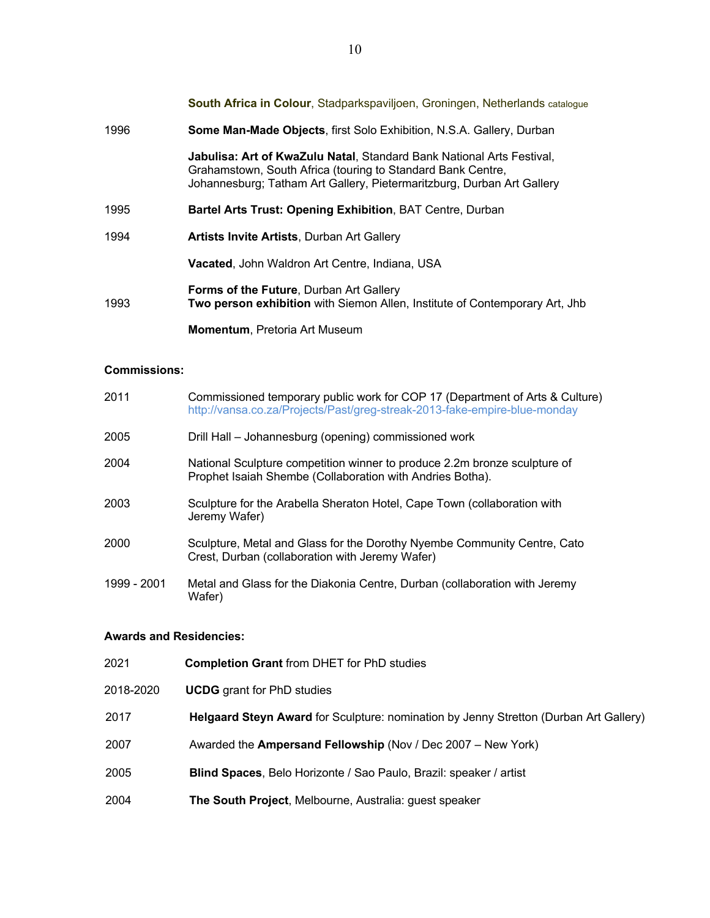**South Africa in Colour**, Stadparkspaviljoen, Groningen, Netherlands catalogue 1996 **Some Man-Made Objects**, first Solo Exhibition, N.S.A. Gallery, Durban **Jabulisa: Art of KwaZulu Natal**, Standard Bank National Arts Festival, Grahamstown, South Africa (touring to Standard Bank Centre, Johannesburg; Tatham Art Gallery, Pietermaritzburg, Durban Art Gallery 1995 **Bartel Arts Trust: Opening Exhibition**, BAT Centre, Durban 1994 **Artists Invite Artists**, Durban Art Gallery **Vacated**, John Waldron Art Centre, Indiana, USA **Forms of the Future**, Durban Art Gallery 1993 **Two person exhibition** with Siemon Allen, Institute of Contemporary Art, Jhb **Momentum**, Pretoria Art Museum

## **Commissions:**

| 2011        | Commissioned temporary public work for COP 17 (Department of Arts & Culture)<br>http://vansa.co.za/Projects/Past/greg-streak-2013-fake-empire-blue-monday |
|-------------|-----------------------------------------------------------------------------------------------------------------------------------------------------------|
| 2005        | Drill Hall – Johannesburg (opening) commissioned work                                                                                                     |
| 2004        | National Sculpture competition winner to produce 2.2m bronze sculpture of<br>Prophet Isaiah Shembe (Collaboration with Andries Botha).                    |
| 2003        | Sculpture for the Arabella Sheraton Hotel, Cape Town (collaboration with<br>Jeremy Wafer)                                                                 |
| 2000        | Sculpture, Metal and Glass for the Dorothy Nyembe Community Centre, Cato<br>Crest, Durban (collaboration with Jeremy Wafer)                               |
| 1999 - 2001 | Metal and Glass for the Diakonia Centre, Durban (collaboration with Jeremy<br>Wafer)                                                                      |

### **Awards and Residencies:**

| 2021      | <b>Completion Grant from DHET for PhD studies</b>                                     |
|-----------|---------------------------------------------------------------------------------------|
| 2018-2020 | <b>UCDG</b> grant for PhD studies                                                     |
| 2017      | Helgaard Steyn Award for Sculpture: nomination by Jenny Stretton (Durban Art Gallery) |
| 2007      | Awarded the Ampersand Fellowship (Nov / Dec 2007 – New York)                          |
| 2005      | Blind Spaces, Belo Horizonte / Sao Paulo, Brazil: speaker / artist                    |
| 2004      | The South Project, Melbourne, Australia: guest speaker                                |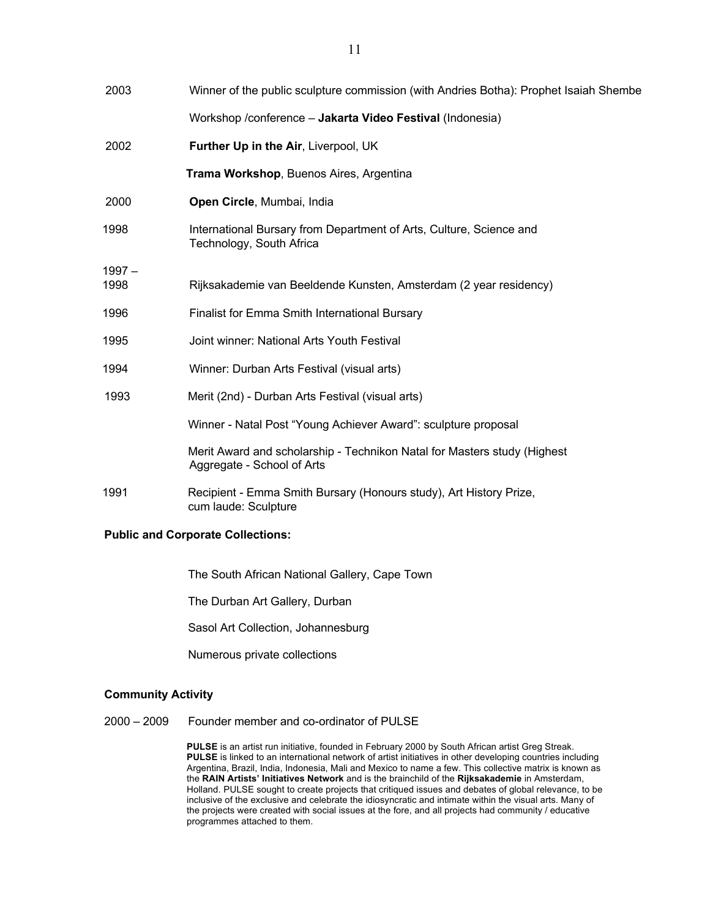| 2003             | Winner of the public sculpture commission (with Andries Botha): Prophet Isaiah Shembe                  |
|------------------|--------------------------------------------------------------------------------------------------------|
|                  | Workshop /conference - Jakarta Video Festival (Indonesia)                                              |
| 2002             | Further Up in the Air, Liverpool, UK                                                                   |
|                  | Trama Workshop, Buenos Aires, Argentina                                                                |
| 2000             | Open Circle, Mumbai, India                                                                             |
| 1998             | International Bursary from Department of Arts, Culture, Science and<br>Technology, South Africa        |
| $1997 -$<br>1998 | Rijksakademie van Beeldende Kunsten, Amsterdam (2 year residency)                                      |
| 1996             | <b>Finalist for Emma Smith International Bursary</b>                                                   |
| 1995             | Joint winner: National Arts Youth Festival                                                             |
| 1994             | Winner: Durban Arts Festival (visual arts)                                                             |
| 1993             | Merit (2nd) - Durban Arts Festival (visual arts)                                                       |
|                  | Winner - Natal Post "Young Achiever Award": sculpture proposal                                         |
|                  | Merit Award and scholarship - Technikon Natal for Masters study (Highest<br>Aggregate - School of Arts |
| 1991             | Recipient - Emma Smith Bursary (Honours study), Art History Prize,<br>cum laude: Sculpture             |
|                  |                                                                                                        |

## **Public and Corporate Collections:**

The South African National Gallery, Cape Town

The Durban Art Gallery, Durban

Sasol Art Collection, Johannesburg

Numerous private collections

## **Community Activity**

2000 – 2009 Founder member and co-ordinator of PULSE

 **PULSE** is an artist run initiative, founded in February 2000 by South African artist Greg Streak. **PULSE** is linked to an international network of artist initiatives in other developing countries including Argentina, Brazil, India, Indonesia, Mali and Mexico to name a few. This collective matrix is known as the **RAIN Artists' Initiatives Network** and is the brainchild of the **Rijksakademie** in Amsterdam, Holland. PULSE sought to create projects that critiqued issues and debates of global relevance, to be inclusive of the exclusive and celebrate the idiosyncratic and intimate within the visual arts. Many of the projects were created with social issues at the fore, and all projects had community / educative programmes attached to them.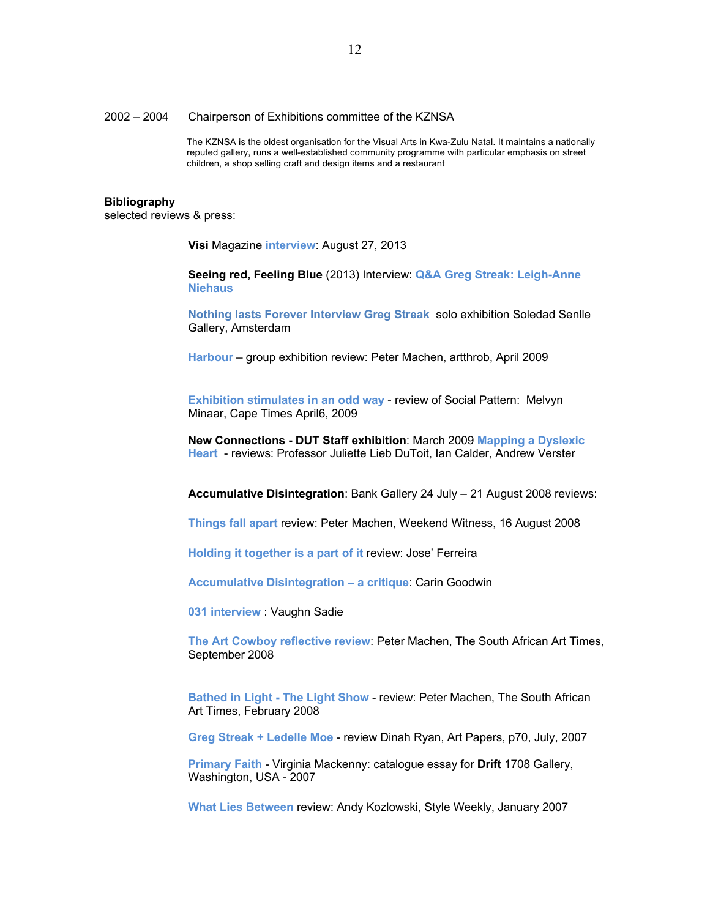#### 2002 – 2004 Chairperson of Exhibitions committee of the KZNSA

 The KZNSA is the oldest organisation for the Visual Arts in Kwa-Zulu Natal. It maintains a nationally reputed gallery, runs a well-established community programme with particular emphasis on street children, a shop selling craft and design items and a restaurant

#### **Bibliography**

selected reviews & press:

 **Visi** Magazine **interview**: August 27, 2013

 **Seeing red, Feeling Blue** (2013) Interview: **Q&A Greg Streak: Leigh-Anne Niehaus**

 **Nothing lasts Forever Interview Greg Streak** solo exhibition Soledad Senlle Gallery, Amsterdam

 **Harbour** – group exhibition review: Peter Machen, artthrob, April 2009

 **Exhibition stimulates in an odd way** - review of Social Pattern: Melvyn Minaar, Cape Times April6, 2009

 **New Connections - DUT Staff exhibition**: March 2009 **Mapping a Dyslexic Heart** - reviews: Professor Juliette Lieb DuToit, Ian Calder, Andrew Verster

**Accumulative Disintegration**: Bank Gallery 24 July – 21 August 2008 reviews:

 **Things fall apart** review: Peter Machen, Weekend Witness, 16 August 2008

 **Holding it together is a part of it** review: Jose' Ferreira

 **Accumulative Disintegration – a critique**: Carin Goodwin

 **031 interview** : Vaughn Sadie

 **The Art Cowboy reflective review**: Peter Machen, The South African Art Times, September 2008

 **Bathed in Light - The Light Show** - review: Peter Machen, The South African Art Times, February 2008

 **Greg Streak + Ledelle Moe** - review Dinah Ryan, Art Papers, p70, July, 2007

 **Primary Faith** - Virginia Mackenny: catalogue essay for **Drift** 1708 Gallery, Washington, USA - 2007

**What Lies Between** review: Andy Kozlowski, Style Weekly, January 2007